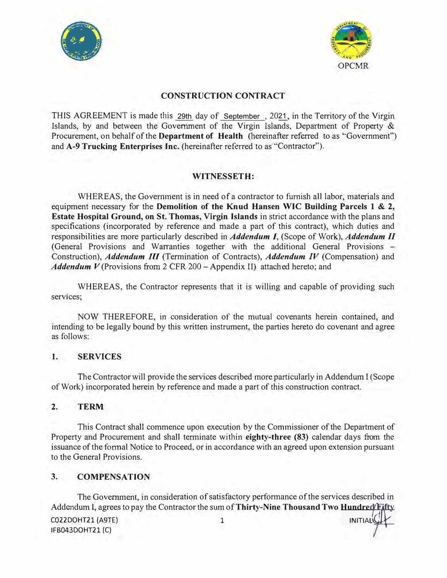



# **CONSTRUCTION CONTRACT**

THIS AGREEMENT is made this 29th day of September, 2021, in the Territory of the Virgin Islands, by and between the Government of the Virgin Islands, Department of Property & Procurement, on behalf of the **Department of Health** (hereinafter referred to as "Government") and **A-9 Trucking Enterprises Inc.** (hereinafter referred to as "Contractor").

# **WITNESSETH:**

WHEREAS, the Government is in need of a contractor to furnish all labor, materials and equipment necessary for the **Demolition of the Knud Hansen WIC Building Parcels 1 & 2, Estate Hospital Ground, on St. Thomas, Virgin Islands** in strict accordance with the plans and specifications (incorporated by reference and made a part of this contract), which duties and responsibifities are more particularly described in *Addendum I,* (Scope of Work), *Addendum II* (General Provisions and Warranties together with the additional General Provisions - Construction), *Addendum III* (Termination of Contracts), *Addendum IV* (Compensation) and *Addendum V* (Provisions from 2 CFR 200 – Appendix II) attached hereto; and

WHEREAS, the Contractor represents that it is willing and capable of providing such services;

NOW THEREFORE, in consideration of the mutual covenants herein contained, and intending to be legally bound by this written instrument, the parties hereto do covenant and agree as follows:

### **I. SERVICES**

The Contractor will provide the services described more particularly in Addendum I (Scope of Work) incorporated herein by reference and made a part of this construction contract.

# **2. TERM**

This Contract shall commence upon execution by the Commissioner of the Department of Property and Procurement and shall terminate within **eighty-three (83)** calendar days from the issuance of the formal Notice to Proceed, or in accordance with an agreed upon extension pursuant to the General Provisions.

#### **3.COMPENSATION**

The Government, in consideration of satisfactory performance of the services described in Addendum I, agrees to pay the Contractor the sum of **Thirty-Nine Thousand Two Hundred Fifty**<br>**CO22DOHT21 (A9TE)** 1

IFB043DOHT21 (C) /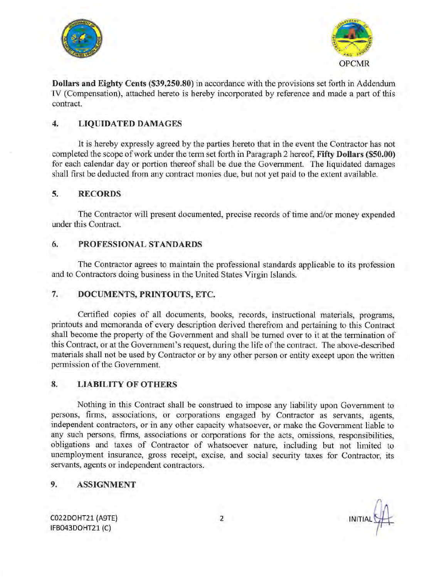



Dollars and Eighty Cents (\$39,250.80) in accordance with the provisions set forth in Addendum IV (Compensation), attached hereto is hereby incorporated by reference and made a part of this contract.

#### **LIQUIDATED DAMAGES** 4.

It is hereby expressly agreed by the parties hereto that in the event the Contractor has not completed the scope of work under the term set forth in Paragraph 2 hereof, Fifty Dollars (\$50.00) for each calendar day or portion thereof shall be due the Government. The liquidated damages shall first be deducted from any contract monies due, but not yet paid to the extent available.

#### **RECORDS** 5.

The Contractor will present documented, precise records of time and/or money expended under this Contract.

#### PROFESSIONAL STANDARDS 6.

The Contractor agrees to maintain the professional standards applicable to its profession and to Contractors doing business in the United States Virgin Islands.

#### DOCUMENTS, PRINTOUTS, ETC. 7.

Certified copies of all documents, books, records, instructional materials, programs, printouts and memoranda of every description derived therefrom and pertaining to this Contract shall become the property of the Government and shall be turned over to it at the termination of this Contract, or at the Government's request, during the life of the contract. The above-described materials shall not be used by Contractor or by any other person or entity except upon the written permission of the Government.

#### **LIABILITY OF OTHERS** 8.

Nothing in this Contract shall be construed to impose any liability upon Government to persons, firms, associations, or corporations engaged by Contractor as servants, agents, independent contractors, or in any other capacity whatsoever, or make the Government liable to any such persons, firms, associations or corporations for the acts, omissions, responsibilities, obligations and taxes of Contractor of whatsoever nature, including but not limited to unemployment insurance, gross receipt, excise, and social security taxes for Contractor, its servants, agents or independent contractors.

#### 9. **ASSIGNMENT**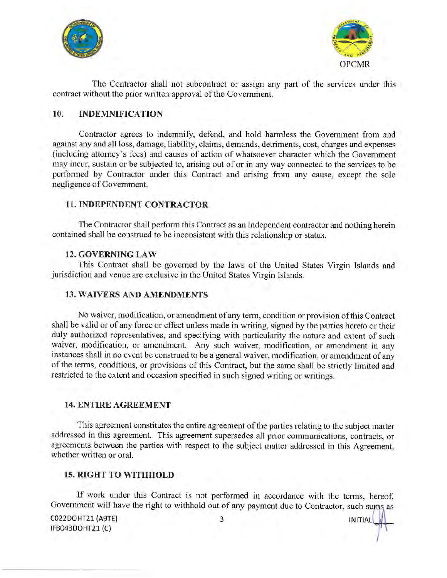



**INITIAL** 

The Contractor shall not subcontract or assign any part of the services under this contract without the prior written approval of the Government.

#### **INDEMNIFICATION**  $10.$

Contractor agrees to indemnify, defend, and hold harmless the Government from and against any and all loss, damage, liability, claims, demands, detriments, cost, charges and expenses (including attorney's fees) and causes of action of whatsoever character which the Government may incur, sustain or be subjected to, arising out of or in any way connected to the services to be performed by Contractor under this Contract and arising from any cause, except the sole negligence of Government.

# **11. INDEPENDENT CONTRACTOR**

The Contractor shall perform this Contract as an independent contractor and nothing herein contained shall be construed to be inconsistent with this relationship or status.

### **12. GOVERNING LAW**

This Contract shall be governed by the laws of the United States Virgin Islands and jurisdiction and venue are exclusive in the United States Virgin Islands.

### **13. WAIVERS AND AMENDMENTS**

No waiver, modification, or amendment of any term, condition or provision of this Contract shall be valid or of any force or effect unless made in writing, signed by the parties hereto or their duly authorized representatives, and specifying with particularity the nature and extent of such waiver, modification, or amendment. Any such waiver, modification, or amendment in any instances shall in no event be construed to be a general waiver, modification, or amendment of any of the terms, conditions, or provisions of this Contract, but the same shall be strictly limited and restricted to the extent and occasion specified in such signed writing or writings.

### **14. ENTIRE AGREEMENT**

This agreement constitutes the entire agreement of the parties relating to the subject matter addressed in this agreement. This agreement supersedes all prior communications, contracts, or agreements between the parties with respect to the subject matter addressed in this Agreement, whether written or oral.

# **15. RIGHT TO WITHHOLD**

If work under this Contract is not performed in accordance with the terms, hereof, Government will have the right to withhold out of any payment due to Contractor, such sums as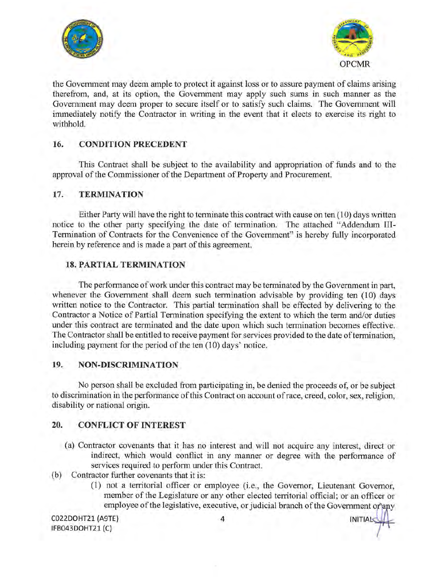



the Government may deem ample to protect it against loss or to assure payment of claims arising therefrom, and, at its option, the Government may apply such sums in such manner as the Government may deem proper to secure itself or to satisfy such claims. The Government will immediately notify the Contractor in writing in the event that it elects to exercise its right to withhold.

#### 16. **CONDITION PRECEDENT**

This Contract shall be subject to the availability and appropriation of funds and to the approval of the Commissioner of the Department of Property and Procurement.

#### 17. **TERMINATION**

Either Party will have the right to terminate this contract with cause on ten (10) days written notice to the other party specifying the date of termination. The attached "Addendum III-Termination of Contracts for the Convenience of the Government" is hereby fully incorporated herein by reference and is made a part of this agreement.

# **18. PARTIAL TERMINATION**

The performance of work under this contract may be terminated by the Government in part, whenever the Government shall deem such termination advisable by providing ten (10) days written notice to the Contractor. This partial termination shall be effected by delivering to the Contractor a Notice of Partial Termination specifying the extent to which the term and/or duties under this contract are terminated and the date upon which such termination becomes effective. The Contractor shall be entitled to receive payment for services provided to the date of termination, including payment for the period of the ten (10) days' notice.

#### 19. **NON-DISCRIMINATION**

No person shall be excluded from participating in, be denied the proceeds of, or be subject to discrimination in the performance of this Contract on account of race, creed, color, sex, religion, disability or national origin.

#### 20. **CONFLICT OF INTEREST**

- (a) Contractor covenants that it has no interest and will not acquire any interest, direct or indirect, which would conflict in any manner or degree with the performance of services required to perform under this Contract.
- (b) Contractor further covenants that it is:
	- (1) not a territorial officer or employee (i.e., the Governor, Lieutenant Governor, member of the Legislature or any other elected territorial official; or an officer or employee of the legislative, executive, or judicial branch of the Government or any

**INITIAL**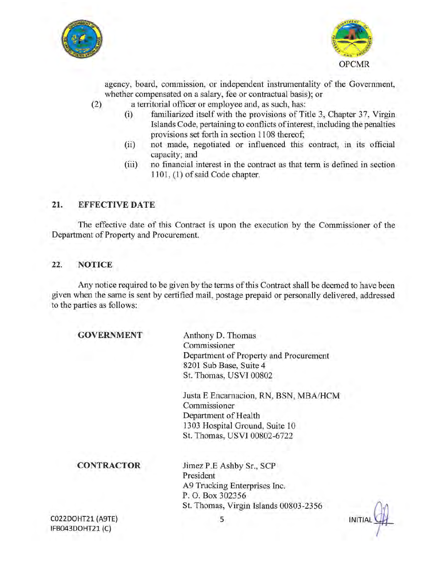



agency, board, commission, or independent instrumentality of the Government, whether compensated on a salary, fee or contractual basis); or

- a territorial officer or employee and, as such, has:  $(2)$ 
	- familiarized itself with the provisions of Title 3, Chapter 37, Virgin  $(i)$ Islands Code, pertaining to conflicts of interest, including the penalties provisions set forth in section 1108 thereof;
	- $(ii)$ not made, negotiated or influenced this contract, in its official capacity; and
	- $(iii)$ no financial interest in the contract as that term is defined in section 1101, (1) of said Code chapter.

#### 21. **EFFECTIVE DATE**

The effective date of this Contract is upon the execution by the Commissioner of the Department of Property and Procurement.

#### 22. **NOTICE**

Any notice required to be given by the terms of this Contract shall be deemed to have been given when the same is sent by certified mail, postage prepaid or personally delivered, addressed to the parties as follows:

| <b>GOVERNMENT</b>                     | Anthony D. Thomas                      |                |
|---------------------------------------|----------------------------------------|----------------|
|                                       | Commissioner                           |                |
|                                       | Department of Property and Procurement |                |
|                                       | 8201 Sub Base, Suite 4                 |                |
|                                       |                                        |                |
|                                       | St. Thomas, USVI 00802                 |                |
|                                       | Justa E Encarnacion, RN, BSN, MBA/HCM  |                |
|                                       | Commissioner                           |                |
|                                       | Department of Health                   |                |
|                                       | 1303 Hospital Ground, Suite 10         |                |
|                                       | St. Thomas, USVI 00802-6722            |                |
| <b>CONTRACTOR</b>                     |                                        |                |
|                                       | Jimez P.E Ashby Sr., SCP               |                |
|                                       | President                              |                |
|                                       | A9 Trucking Enterprises Inc.           |                |
|                                       | P. O. Box 302356                       |                |
|                                       | St. Thomas, Virgin Islands 00803-2356  |                |
| C022DOHT21 (A9TE)<br>IFB043DOHT21 (C) | 5                                      | <b>INITIAI</b> |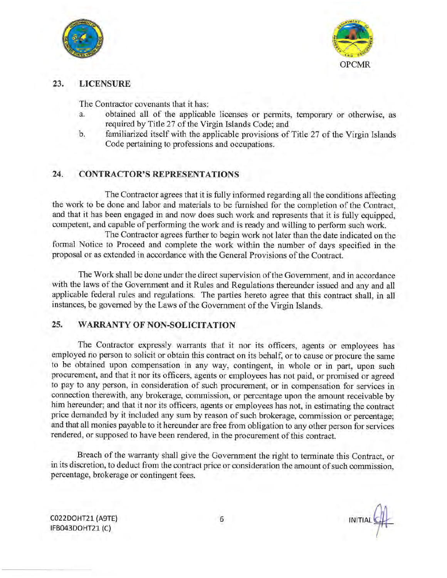



#### 23. **LICENSURE**

The Contractor covenants that it has:

- obtained all of the applicable licenses or permits, temporary or otherwise, as  $\overline{a}$ . required by Title 27 of the Virgin Islands Code; and
- familiarized itself with the applicable provisions of Title 27 of the Virgin Islands  $<sub>b</sub>$ .</sub> Code pertaining to professions and occupations.

#### $24.$ **CONTRACTOR'S REPRESENTATIONS**

The Contractor agrees that it is fully informed regarding all the conditions affecting the work to be done and labor and materials to be furnished for the completion of the Contract, and that it has been engaged in and now does such work and represents that it is fully equipped, competent, and capable of performing the work and is ready and willing to perform such work.

The Contractor agrees further to begin work not later than the date indicated on the formal Notice to Proceed and complete the work within the number of days specified in the proposal or as extended in accordance with the General Provisions of the Contract.

The Work shall be done under the direct supervision of the Government, and in accordance with the laws of the Government and it Rules and Regulations thereunder issued and any and all applicable federal rules and regulations. The parties hereto agree that this contract shall, in all instances, be governed by the Laws of the Government of the Virgin Islands.

#### 25. **WARRANTY OF NON-SOLICITATION**

The Contractor expressly warrants that it nor its officers, agents or employees has employed no person to solicit or obtain this contract on its behalf, or to cause or procure the same to be obtained upon compensation in any way, contingent, in whole or in part, upon such procurement, and that it nor its officers, agents or employees has not paid, or promised or agreed to pay to any person, in consideration of such procurement, or in compensation for services in connection therewith, any brokerage, commission, or percentage upon the amount receivable by him hereunder; and that it nor its officers, agents or employees has not, in estimating the contract price demanded by it included any sum by reason of such brokerage, commission or percentage; and that all monies payable to it hereunder are free from obligation to any other person for services rendered, or supposed to have been rendered, in the procurement of this contract.

Breach of the warranty shall give the Government the right to terminate this Contract, or in its discretion, to deduct from the contract price or consideration the amount of such commission, percentage, brokerage or contingent fees.

**INITIAL**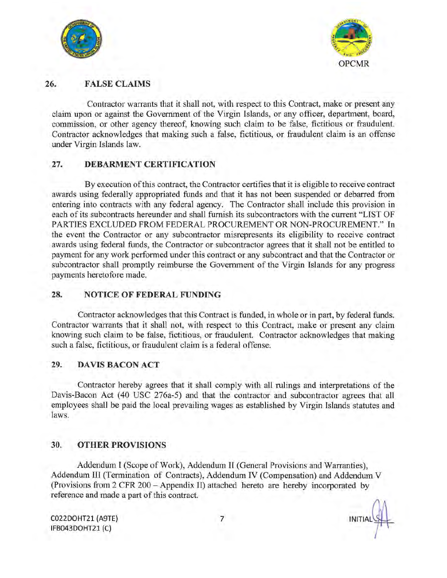



#### 26. **FALSE CLAIMS**

Contractor warrants that it shall not, with respect to this Contract, make or present any claim upon or against the Government of the Virgin Islands, or any officer, department, board, commission, or other agency thereof, knowing such claim to be false, fictitious or fraudulent. Contractor acknowledges that making such a false, fictitious, or fraudulent claim is an offense under Virgin Islands law.

#### 27. **DEBARMENT CERTIFICATION**

By execution of this contract, the Contractor certifies that it is eligible to receive contract awards using federally appropriated funds and that it has not been suspended or debarred from entering into contracts with any federal agency. The Contractor shall include this provision in each of its subcontracts hereunder and shall furnish its subcontractors with the current "LIST OF PARTIES EXCLUDED FROM FEDERAL PROCUREMENT OR NON-PROCUREMENT." In the event the Contractor or any subcontractor misrepresents its eligibility to receive contract awards using federal funds, the Contractor or subcontractor agrees that it shall not be entitled to payment for any work performed under this contract or any subcontract and that the Contractor or subcontractor shall promptly reimburse the Government of the Virgin Islands for any progress payments heretofore made.

#### 28. **NOTICE OF FEDERAL FUNDING**

Contractor acknowledges that this Contract is funded, in whole or in part, by federal funds. Contractor warrants that it shall not, with respect to this Contract, make or present any claim knowing such claim to be false, fictitious, or fraudulent. Contractor acknowledges that making such a false, fictitious, or fraudulent claim is a federal offense.

#### 29. **DAVIS BACON ACT**

Contractor hereby agrees that it shall comply with all rulings and interpretations of the Davis-Bacon Act (40 USC 276a-5) and that the contractor and subcontractor agrees that all employees shall be paid the local prevailing wages as established by Virgin Islands statutes and laws.

#### 30. **OTHER PROVISIONS**

Addendum I (Scope of Work), Addendum II (General Provisions and Warranties), Addendum III (Termination of Contracts), Addendum IV (Compensation) and Addendum V (Provisions from 2 CFR 200 - Appendix II) attached hereto are hereby incorporated by reference and made a part of this contract.

**INITIAL**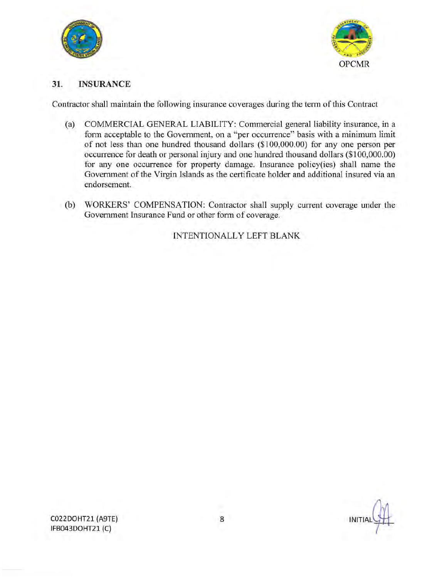



#### 31. **INSURANCE**

Contractor shall maintain the following insurance coverages during the term of this Contract

- $(a)$ COMMERCIAL GENERAL LIABILITY: Commercial general liability insurance, in a form acceptable to the Government, on a "per occurrence" basis with a minimum limit of not less than one hundred thousand dollars (\$100,000.00) for any one person per occurrence for death or personal injury and one hundred thousand dollars (\$100,000.00) for any one occurrence for property damage. Insurance policy(ies) shall name the Government of the Virgin Islands as the certificate holder and additional insured via an endorsement.
- (b) WORKERS' COMPENSATION: Contractor shall supply current coverage under the Government Insurance Fund or other form of coverage.

INTENTIONALLY LEFT BLANK